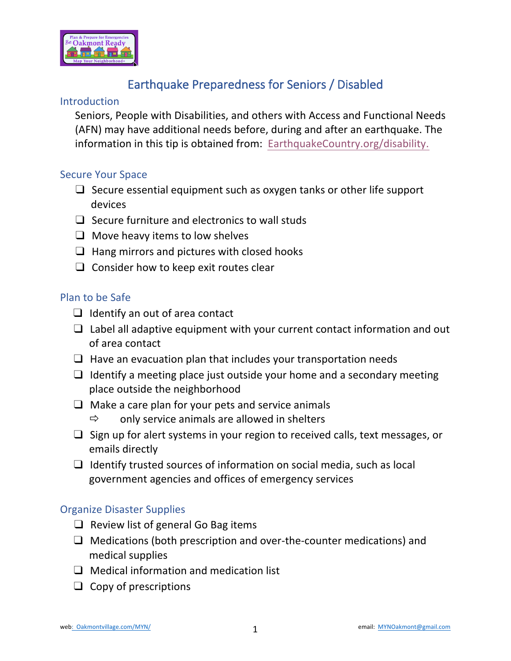

# Earthquake Preparedness for Seniors / Disabled

## **Introduction**

Seniors, People with Disabilities, and others with Access and Functional Needs (AFN) may have additional needs before, during and after an earthquake. The information in this tip is obtained from: Eart[hquakeCountry.org/disability](www.EarthquakeCountry.org/disability).

## Secure Your Space

- $\Box$  Secure essential equipment such as oxygen tanks or other life support devices
- $\Box$  Secure furniture and electronics to wall studs
- $\Box$  Move heavy items to low shelves
- $\Box$  Hang mirrors and pictures with closed hooks
- ❑ Consider how to keep exit routes clear

#### Plan to be Safe

- $\Box$  Identify an out of area contact
- $\Box$  Label all adaptive equipment with your current contact information and out of area contact
- $\Box$  Have an evacuation plan that includes your transportation needs
- $\Box$  Identify a meeting place just outside your home and a secondary meeting place outside the neighborhood
- $\Box$  Make a care plan for your pets and service animals
	- $\Rightarrow$  only service animals are allowed in shelters
- ❑ Sign up for alert systems in your region to received calls, text messages, or emails directly
- ❑ Identify trusted sources of information on social media, such as local government agencies and offices of emergency services

#### Organize Disaster Supplies

- $\Box$  Review list of general Go Bag items
- ❑ Medications (both prescription and over-the-counter medications) and medical supplies
- ❑ Medical information and medication list
- ❑ Copy of prescriptions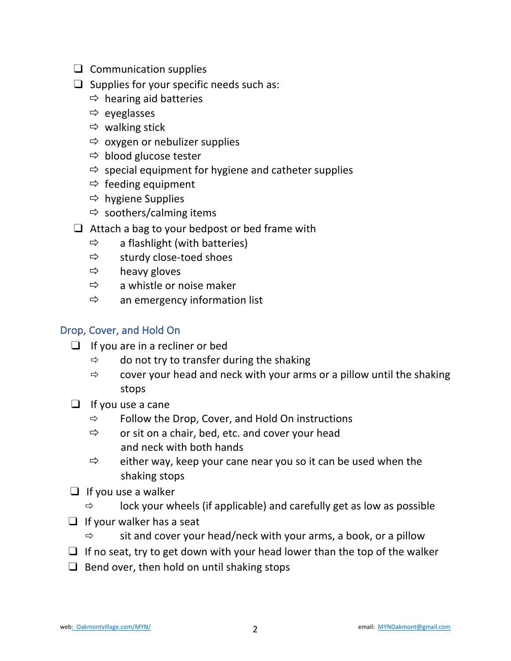- ❑ Communication supplies
- $\Box$  Supplies for your specific needs such as:
	- $\Rightarrow$  hearing aid batteries
	- $\Rightarrow$  eyeglasses
	- $\Rightarrow$  walking stick
	- $\Rightarrow$  oxygen or nebulizer supplies
	- $\Rightarrow$  blood glucose tester
	- $\Rightarrow$  special equipment for hygiene and catheter supplies
	- $\Rightarrow$  feeding equipment
	- $\Rightarrow$  hygiene Supplies
	- $\Rightarrow$  soothers/calming items
- $\Box$  Attach a bag to your bedpost or bed frame with
	- $\Rightarrow$  a flashlight (with batteries)
	- $\Rightarrow$  sturdy close-toed shoes
	- $\Rightarrow$  heavy gloves
	- $\Rightarrow$  a whistle or noise maker
	- $\Rightarrow$  an emergency information list

## Drop, Cover, and Hold On

- $\Box$  If you are in a recliner or bed
	- $\Rightarrow$  do not try to transfer during the shaking
	- $\Rightarrow$  cover your head and neck with your arms or a pillow until the shaking stops
- $\Box$  If you use a cane
	- $\Rightarrow$  Follow the Drop, Cover, and Hold On instructions
	- $\Rightarrow$  or sit on a chair, bed, etc. and cover your head and neck with both hands
	- $\Rightarrow$  either way, keep your cane near you so it can be used when the shaking stops
- $\Box$  If you use a walker
	- $\Rightarrow$  lock your wheels (if applicable) and carefully get as low as possible
- ❑ If your walker has a seat
	- $\Rightarrow$  sit and cover your head/neck with your arms, a book, or a pillow
- $\Box$  If no seat, try to get down with your head lower than the top of the walker
- $\Box$  Bend over, then hold on until shaking stops